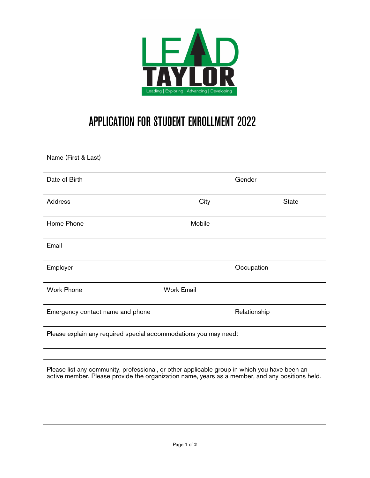

## APPLICATION FOR STUDENT ENROLLMENT 2022

Name (First & Last)

| Date of Birth                                                                                                                                                                                   | Gender            |              |  |
|-------------------------------------------------------------------------------------------------------------------------------------------------------------------------------------------------|-------------------|--------------|--|
| <b>Address</b>                                                                                                                                                                                  | City              | <b>State</b> |  |
| Home Phone                                                                                                                                                                                      | Mobile            |              |  |
| Email                                                                                                                                                                                           |                   |              |  |
| Employer                                                                                                                                                                                        |                   | Occupation   |  |
| <b>Work Phone</b>                                                                                                                                                                               | <b>Work Email</b> |              |  |
| Emergency contact name and phone                                                                                                                                                                |                   | Relationship |  |
| Please explain any required special accommodations you may need:                                                                                                                                |                   |              |  |
|                                                                                                                                                                                                 |                   |              |  |
| Please list any community, professional, or other applicable group in which you have been an<br>active member. Please provide the organization name, years as a member, and any positions held. |                   |              |  |
|                                                                                                                                                                                                 |                   |              |  |
|                                                                                                                                                                                                 |                   |              |  |